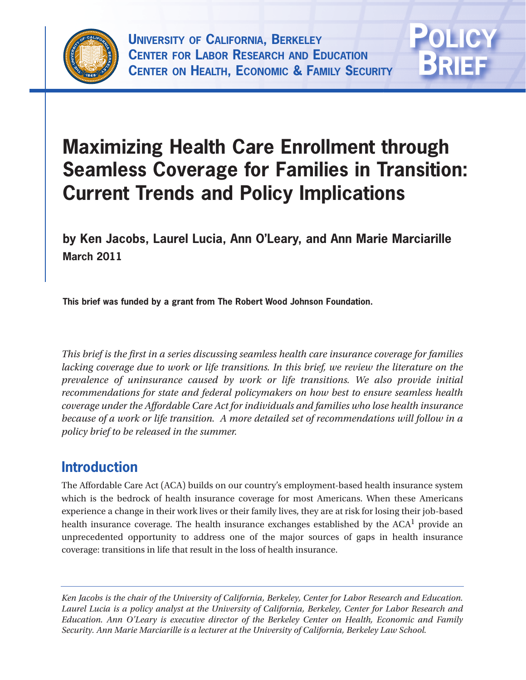



# **Maximizing Health Care Enrollment through Seamless Coverage for Families in Transition: Current Trends and Policy Implications**

**by Ken Jacobs, Laurel Lucia, Ann O'Leary, and Ann Marie Marciarille March 2011**

**This brief was funded by a grant from The Robert Wood Johnson Foundation.**

*This brief is the first in a series discussing seamless health care insurance coverage for families lacking coverage due to work or life transitions. In this brief, we review the literature on the prevalence of uninsurance caused by work or life transitions. We also provide initial recommendations for state and federal policymakers on how best to ensure seamless health coverage under the Affordable Care Act for individuals and families who lose health insurance because of a work or life transition. A more detailed set of recommendations will follow in a policy brief to be released in the summer.*

# **Introduction**

The Affordable Care Act (ACA) builds on our country's employment-based health insurance system which is the bedrock of health insurance coverage for most Americans. When these Americans experience a change in their work lives or their family lives, they are at risk for losing their job-based health insurance coverage. The health insurance exchanges established by the  $ACA<sup>1</sup>$  provide an unprecedented opportunity to address one of the major sources of gaps in health insurance coverage: transitions in life that result in the loss of health insurance.

*Ken Jacobs is the chair of the University of California, Berkeley, Center for Labor Research and Education. Laurel Lucia is a policy analyst at the University of California, Berkeley, Center for Labor Research and Education. Ann O'Leary is executive director of the Berkeley Center on Health, Economic and Family Security. Ann Marie Marciarille is a lecturer at the University of California, Berkeley Law School.*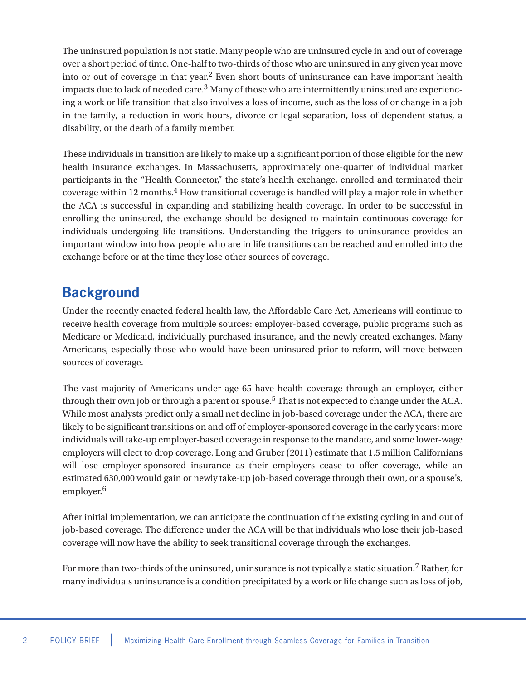The uninsured population is not static. Many people who are uninsured cycle in and out of coverage over a short period of time. One-half to two-thirds of those who are uninsured in any given year move into or out of coverage in that year.2 Even short bouts of uninsurance can have important health impacts due to lack of needed care.<sup>3</sup> Many of those who are intermittently uninsured are experiencing a work or life transition that also involves a loss of income, such as the loss of or change in a job in the family, a reduction in work hours, divorce or legal separation, loss of dependent status, a disability, or the death of a family member.

These individuals in transition are likely to make up a significant portion of those eligible for the new health insurance exchanges. In Massachusetts, approximately one-quarter of individual market participants in the "Health Connector," the state's health exchange, enrolled and terminated their coverage within 12 months.4 How transitional coverage is handled will play a major role in whether the ACA is successful in expanding and stabilizing health coverage. In order to be successful in enrolling the uninsured, the exchange should be designed to maintain continuous coverage for individuals undergoing life transitions. Understanding the triggers to uninsurance provides an important window into how people who are in life transitions can be reached and enrolled into the exchange before or at the time they lose other sources of coverage.

# **Background**

Under the recently enacted federal health law, the Affordable Care Act, Americans will continue to receive health coverage from multiple sources: employer-based coverage, public programs such as Medicare or Medicaid, individually purchased insurance, and the newly created exchanges. Many Americans, especially those who would have been uninsured prior to reform, will move between sources of coverage.

The vast majority of Americans under age 65 have health coverage through an employer, either through their own job or through a parent or spouse.<sup>5</sup> That is not expected to change under the ACA. While most analysts predict only a small net decline in job-based coverage under the ACA, there are likely to be significant transitions on and off of employer-sponsored coverage in the early years: more individuals will take-up employer-based coverage in response to the mandate, and some lower-wage employers will elect to drop coverage. Long and Gruber (2011) estimate that 1.5 million Californians will lose employer-sponsored insurance as their employers cease to offer coverage, while an estimated 630,000 would gain or newly take-up job-based coverage through their own, or a spouse's, employer.<sup>6</sup>

After initial implementation, we can anticipate the continuation of the existing cycling in and out of job-based coverage. The difference under the ACA will be that individuals who lose their job-based coverage will now have the ability to seek transitional coverage through the exchanges.

For more than two-thirds of the uninsured, uninsurance is not typically a static situation.7 Rather, for many individuals uninsurance is a condition precipitated by a work or life change such as loss of job,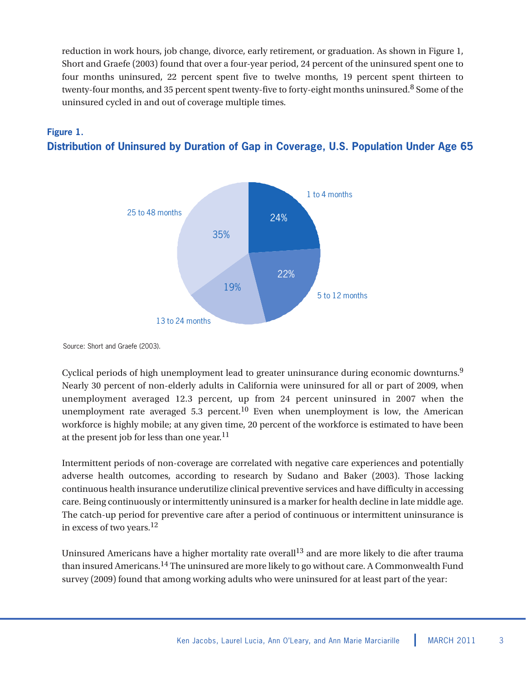reduction in work hours, job change, divorce, early retirement, or graduation. As shown in Figure 1, Short and Graefe (2003) found that over a four-year period, 24 percent of the uninsured spent one to four months uninsured, 22 percent spent five to twelve months, 19 percent spent thirteen to twenty-four months, and 35 percent spent twenty-five to forty-eight months uninsured.<sup>8</sup> Some of the uninsured cycled in and out of coverage multiple times.



#### **Figure 1. Distribution of Uninsured by Duration of Gap in Coverage, U.S. Population Under Age 65**

Source: Short and Graefe (2003).

Cyclical periods of high unemployment lead to greater uninsurance during economic downturns.<sup>9</sup> Nearly 30 percent of non-elderly adults in California were uninsured for all or part of 2009, when unemployment averaged 12.3 percent, up from 24 percent uninsured in 2007 when the unemployment rate averaged 5.3 percent.<sup>10</sup> Even when unemployment is low, the American workforce is highly mobile; at any given time, 20 percent of the workforce is estimated to have been at the present job for less than one year. $^{11}$ 

Intermittent periods of non-coverage are correlated with negative care experiences and potentially adverse health outcomes, according to research by Sudano and Baker (2003). Those lacking continuous health insurance underutilize clinical preventive services and have difficulty in accessing care. Being continuously or intermittently uninsured is a marker for health decline in late middle age. The catch-up period for preventive care after a period of continuous or intermittent uninsurance is in excess of two years.12

Uninsured Americans have a higher mortality rate overall<sup>13</sup> and are more likely to die after trauma than insured Americans.14 The uninsured are more likely to go without care. A Commonwealth Fund survey (2009) found that among working adults who were uninsured for at least part of the year: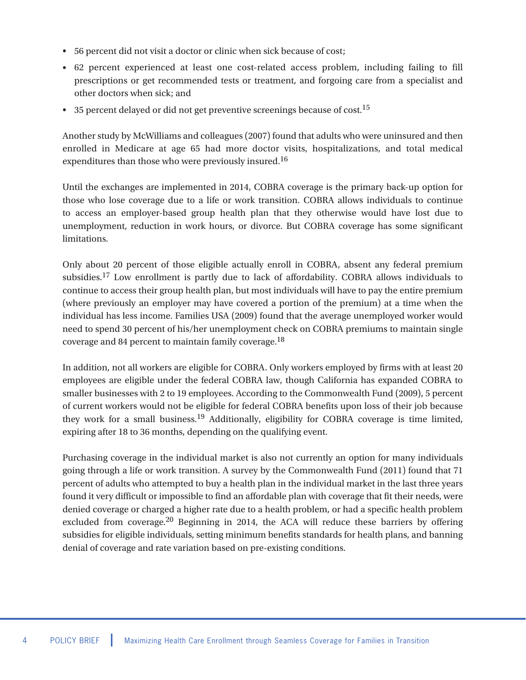- 56 percent did not visit a doctor or clinic when sick because of cost; •
- 62 percent experienced at least one cost-related access problem, including failing to fill prescriptions or get recommended tests or treatment, and forgoing care from a specialist and other doctors when sick; and
- $\bullet$  35 percent delayed or did not get preventive screenings because of cost.<sup>15</sup>

Another study by McWilliams and colleagues (2007) found that adults who were uninsured and then enrolled in Medicare at age 65 had more doctor visits, hospitalizations, and total medical expenditures than those who were previously insured.<sup>16</sup>

Until the exchanges are implemented in 2014, COBRA coverage is the primary back-up option for those who lose coverage due to a life or work transition. COBRA allows individuals to continue to access an employer-based group health plan that they otherwise would have lost due to unemployment, reduction in work hours, or divorce. But COBRA coverage has some significant limitations.

Only about 20 percent of those eligible actually enroll in COBRA, absent any federal premium subsidies.<sup>17</sup> Low enrollment is partly due to lack of affordability. COBRA allows individuals to continue to access their group health plan, but most individuals will have to pay the entire premium (where previously an employer may have covered a portion of the premium) at a time when the individual has less income. Families USA (2009) found that the average unemployed worker would need to spend 30 percent of his/her unemployment check on COBRA premiums to maintain single coverage and 84 percent to maintain family coverage.18

In addition, not all workers are eligible for COBRA. Only workers employed by firms with at least 20 employees are eligible under the federal COBRA law, though California has expanded COBRA to smaller businesses with 2 to 19 employees. According to the Commonwealth Fund (2009), 5 percent of current workers would not be eligible for federal COBRA benefits upon loss of their job because they work for a small business.<sup>19</sup> Additionally, eligibility for COBRA coverage is time limited, expiring after 18 to 36 months, depending on the qualifying event.

Purchasing coverage in the individual market is also not currently an option for many individuals going through a life or work transition. A survey by the Commonwealth Fund (2011) found that 71 percent of adults who attempted to buy a health plan in the individual market in the last three years found it very difficult or impossible to find an affordable plan with coverage that fit their needs, were denied coverage or charged a higher rate due to a health problem, or had a specific health problem excluded from coverage.<sup>20</sup> Beginning in 2014, the ACA will reduce these barriers by offering subsidies for eligible individuals, setting minimum benefits standards for health plans, and banning denial of coverage and rate variation based on pre-existing conditions.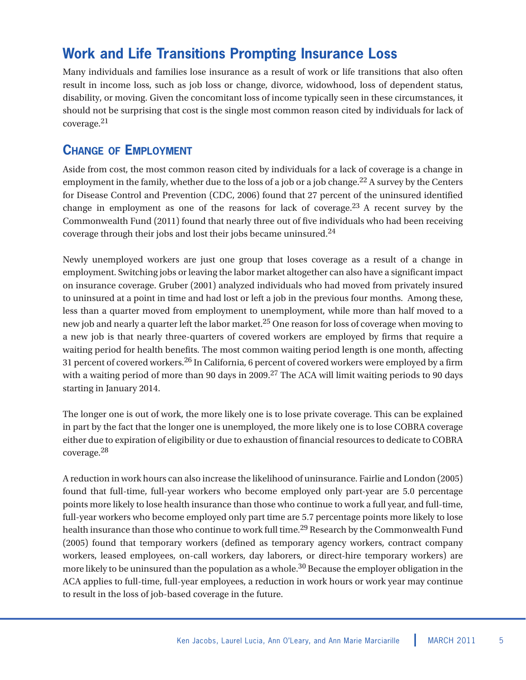# **Work and Life Transitions Prompting Insurance Loss**

Many individuals and families lose insurance as a result of work or life transitions that also often result in income loss, such as job loss or change, divorce, widowhood, loss of dependent status, disability, or moving. Given the concomitant loss of income typically seen in these circumstances, it should not be surprising that cost is the single most common reason cited by individuals for lack of coverage.21

#### **CHANGE OF EMPLOYMENT**

Aside from cost, the most common reason cited by individuals for a lack of coverage is a change in employment in the family, whether due to the loss of a job or a job change.<sup>22</sup> A survey by the Centers for Disease Control and Prevention (CDC, 2006) found that 27 percent of the uninsured identified change in employment as one of the reasons for lack of coverage. $23$  A recent survey by the Commonwealth Fund (2011) found that nearly three out of five individuals who had been receiving coverage through their jobs and lost their jobs became uninsured.<sup>24</sup>

Newly unemployed workers are just one group that loses coverage as a result of a change in employment. Switching jobs or leaving the labor market altogether can also have a significant impact on insurance coverage. Gruber (2001) analyzed individuals who had moved from privately insured to uninsured at a point in time and had lost or left a job in the previous four months. Among these, less than a quarter moved from employment to unemployment, while more than half moved to a new job and nearly a quarter left the labor market.<sup>25</sup> One reason for loss of coverage when moving to a new job is that nearly three-quarters of covered workers are employed by firms that require a waiting period for health benefits. The most common waiting period length is one month, affecting 31 percent of covered workers.<sup>26</sup> In California, 6 percent of covered workers were employed by a firm with a waiting period of more than 90 days in 2009.<sup>27</sup> The ACA will limit waiting periods to 90 days starting in January 2014.

The longer one is out of work, the more likely one is to lose private coverage. This can be explained in part by the fact that the longer one is unemployed, the more likely one is to lose COBRA coverage either due to expiration of eligibility or due to exhaustion of financial resources to dedicate to COBRA coverage.28

A reduction in work hours can also increase the likelihood of uninsurance. Fairlie and London (2005) found that full-time, full-year workers who become employed only part-year are 5.0 percentage points more likely to lose health insurance than those who continue to work a full year, and full-time, full-year workers who become employed only part time are 5.7 percentage points more likely to lose health insurance than those who continue to work full time.<sup>29</sup> Research by the Commonwealth Fund (2005) found that temporary workers (defined as temporary agency workers, contract company workers, leased employees, on-call workers, day laborers, or direct-hire temporary workers) are more likely to be uninsured than the population as a whole.<sup>30</sup> Because the employer obligation in the ACA applies to full-time, full-year employees, a reduction in work hours or work year may continue to result in the loss of job-based coverage in the future.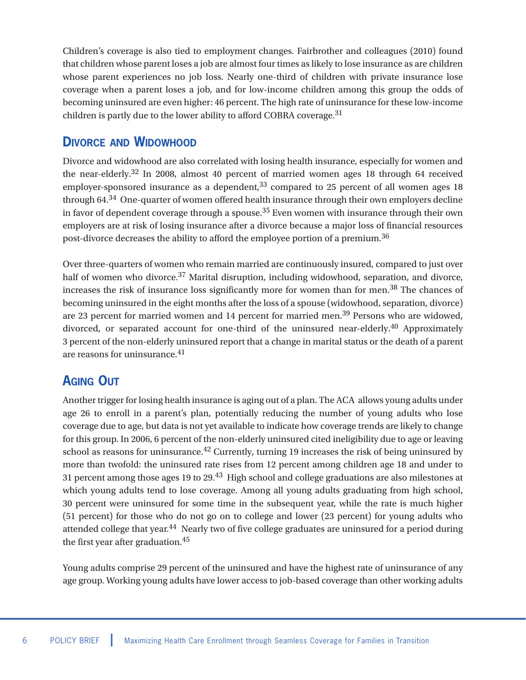Children's coverage is also tied to employment changes. Fairbrother and colleagues (2010) found that children whose parent loses a job are almost four times as likely to lose insurance as are children whose parent experiences no job loss. Nearly one-third of children with private insurance lose coverage when a parent loses a job, and for low-income children among this group the odds of becoming uninsured are even higher: 46 percent. The high rate of uninsurance for these low-income children is partly due to the lower ability to afford COBRA coverage.<sup>31</sup>

#### **DIVORCE AND WIDOWHOOD**

Divorce and widowhood are also correlated with losing health insurance, especially for women and the near-elderly.<sup>32</sup> In 2008, almost 40 percent of married women ages 18 through 64 received employer-sponsored insurance as a dependent,  $33$  compared to 25 percent of all women ages 18 through 64.<sup>34</sup> One-quarter of women offered health insurance through their own employers decline in favor of dependent coverage through a spouse.<sup>35</sup> Even women with insurance through their own employers are at risk of losing insurance after a divorce because a major loss of financial resources post-divorce decreases the ability to afford the employee portion of a premium.36

Over three-quarters of women who remain married are continuously insured, compared to just over half of women who divorce.<sup>37</sup> Marital disruption, including widowhood, separation, and divorce, increases the risk of insurance loss significantly more for women than for men.<sup>38</sup> The chances of becoming uninsured in the eight months after the loss of a spouse (widowhood, separation, divorce) are 23 percent for married women and 14 percent for married men.<sup>39</sup> Persons who are widowed, divorced, or separated account for one-third of the uninsured near-elderly.<sup>40</sup> Approximately 3 percent of the non-elderly uninsured report that a change in marital status or the death of a parent are reasons for uninsurance.<sup>41</sup>

#### **AGING OUT**

Another trigger for losing health insurance is aging out of a plan. The ACA allows young adults under age 26 to enroll in a parent's plan, potentially reducing the number of young adults who lose coverage due to age, but data is not yet available to indicate how coverage trends are likely to change for this group. In 2006, 6 percent of the non-elderly uninsured cited ineligibility due to age or leaving school as reasons for uninsurance.<sup>42</sup> Currently, turning 19 increases the risk of being uninsured by more than twofold: the uninsured rate rises from 12 percent among children age 18 and under to 31 percent among those ages 19 to 29.<sup>43</sup> High school and college graduations are also milestones at which young adults tend to lose coverage. Among all young adults graduating from high school, 30 percent were uninsured for some time in the subsequent year, while the rate is much higher (51 percent) for those who do not go on to college and lower (23 percent) for young adults who attended college that year.<sup>44</sup> Nearly two of five college graduates are uninsured for a period during the first year after graduation.<sup>45</sup>

Young adults comprise 29 percent of the uninsured and have the highest rate of uninsurance of any age group. Working young adults have lower access to job-based coverage than other working adults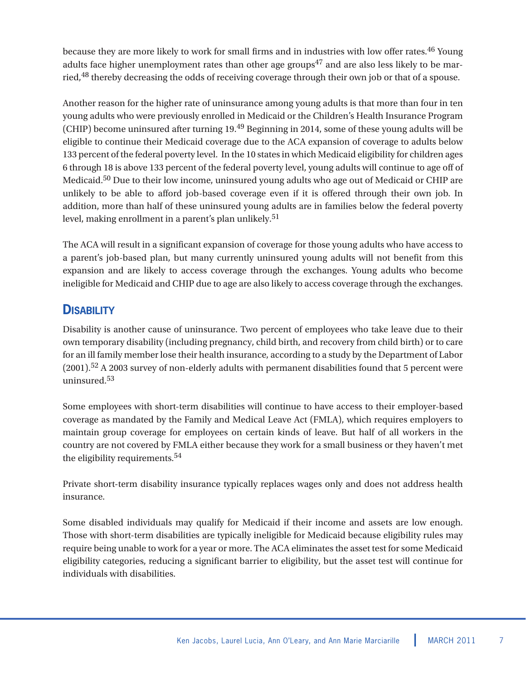because they are more likely to work for small firms and in industries with low offer rates.<sup>46</sup> Young adults face higher unemployment rates than other age groups<sup>47</sup> and are also less likely to be married,<sup>48</sup> thereby decreasing the odds of receiving coverage through their own job or that of a spouse.

Another reason for the higher rate of uninsurance among young adults is that more than four in ten young adults who were previously enrolled in Medicaid or the Children's Health Insurance Program (CHIP) become uninsured after turning 19.<sup>49</sup> Beginning in 2014, some of these young adults will be eligible to continue their Medicaid coverage due to the ACA expansion of coverage to adults below 133 percent of the federal poverty level. In the 10 states in which Medicaid eligibility for children ages 6 through 18 is above 133 percent of the federal poverty level, young adults will continue to age off of Medicaid.50 Due to their low income, uninsured young adults who age out of Medicaid or CHIP are unlikely to be able to afford job-based coverage even if it is offered through their own job. In addition, more than half of these uninsured young adults are in families below the federal poverty level, making enrollment in a parent's plan unlikely.<sup>51</sup>

The ACA will result in a significant expansion of coverage for those young adults who have access to a parent's job-based plan, but many currently uninsured young adults will not benefit from this expansion and are likely to access coverage through the exchanges. Young adults who become ineligible for Medicaid and CHIP due to age are also likely to access coverage through the exchanges.

### **DISABILITY**

Disability is another cause of uninsurance. Two percent of employees who take leave due to their own temporary disability (including pregnancy, child birth, and recovery from child birth) or to care for an ill family member lose their health insurance, according to a study by the Department of Labor (2001).<sup>52</sup> A 2003 survey of non-elderly adults with permanent disabilities found that 5 percent were uninsured.53

Some employees with short-term disabilities will continue to have access to their employer-based coverage as mandated by the Family and Medical Leave Act (FMLA), which requires employers to maintain group coverage for employees on certain kinds of leave. But half of all workers in the country are not covered by FMLA either because they work for a small business or they haven't met the eligibility requirements.<sup>54</sup>

Private short-term disability insurance typically replaces wages only and does not address health insurance.

Some disabled individuals may qualify for Medicaid if their income and assets are low enough. Those with short-term disabilities are typically ineligible for Medicaid because eligibility rules may require being unable to work for a year or more. The ACA eliminates the asset test for some Medicaid eligibility categories, reducing a significant barrier to eligibility, but the asset test will continue for individuals with disabilities.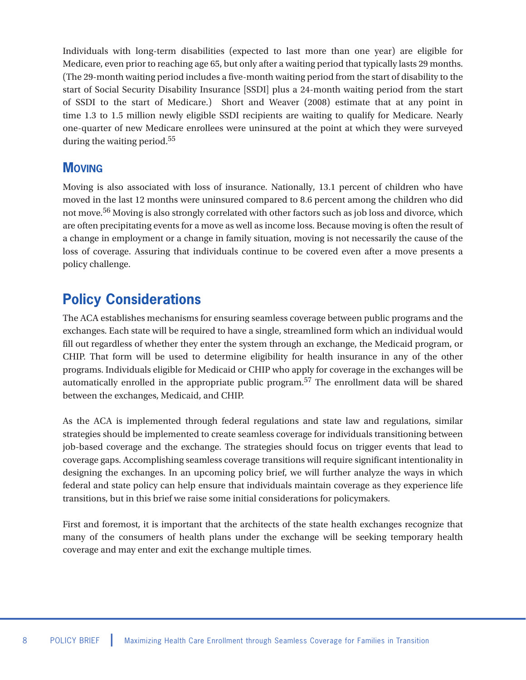Individuals with long-term disabilities (expected to last more than one year) are eligible for Medicare, even prior to reaching age 65, but only after a waiting period that typically lasts 29 months. (The 29-month waiting period includes a five-month waiting period from the start of disability to the start of Social Security Disability Insurance [SSDI] plus a 24-month waiting period from the start of SSDI to the start of Medicare.) Short and Weaver (2008) estimate that at any point in time 1.3 to 1.5 million newly eligible SSDI recipients are waiting to qualify for Medicare. Nearly one-quarter of new Medicare enrollees were uninsured at the point at which they were surveyed during the waiting period.<sup>55</sup>

#### **MOVING**

Moving is also associated with loss of insurance. Nationally, 13.1 percent of children who have moved in the last 12 months were uninsured compared to 8.6 percent among the children who did not move.<sup>56</sup> Moving is also strongly correlated with other factors such as job loss and divorce, which are often precipitating events for a move as well as income loss. Because moving is often the result of a change in employment or a change in family situation, moving is not necessarily the cause of the loss of coverage. Assuring that individuals continue to be covered even after a move presents a policy challenge.

# **Policy Considerations**

The ACA establishes mechanisms for ensuring seamless coverage between public programs and the exchanges. Each state will be required to have a single, streamlined form which an individual would fill out regardless of whether they enter the system through an exchange, the Medicaid program, or CHIP. That form will be used to determine eligibility for health insurance in any of the other programs. Individuals eligible for Medicaid or CHIP who apply for coverage in the exchanges will be automatically enrolled in the appropriate public program.<sup>57</sup> The enrollment data will be shared between the exchanges, Medicaid, and CHIP.

As the ACA is implemented through federal regulations and state law and regulations, similar strategies should be implemented to create seamless coverage for individuals transitioning between job-based coverage and the exchange. The strategies should focus on trigger events that lead to coverage gaps. Accomplishing seamless coverage transitions will require significant intentionality in designing the exchanges. In an upcoming policy brief, we will further analyze the ways in which federal and state policy can help ensure that individuals maintain coverage as they experience life transitions, but in this brief we raise some initial considerations for policymakers.

First and foremost, it is important that the architects of the state health exchanges recognize that many of the consumers of health plans under the exchange will be seeking temporary health coverage and may enter and exit the exchange multiple times.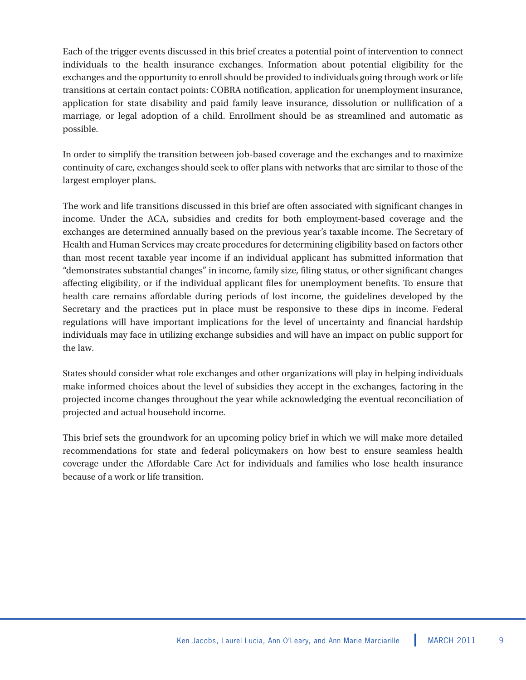Each of the trigger events discussed in this brief creates a potential point of intervention to connect individuals to the health insurance exchanges. Information about potential eligibility for the exchanges and the opportunity to enroll should be provided to individuals going through work or life transitions at certain contact points: COBRA notification, application for unemployment insurance, application for state disability and paid family leave insurance, dissolution or nullification of a marriage, or legal adoption of a child. Enrollment should be as streamlined and automatic as possible.

In order to simplify the transition between job-based coverage and the exchanges and to maximize continuity of care, exchanges should seek to offer plans with networks that are similar to those of the largest employer plans.

The work and life transitions discussed in this brief are often associated with significant changes in income. Under the ACA, subsidies and credits for both employment-based coverage and the exchanges are determined annually based on the previous year's taxable income. The Secretary of Health and Human Services may create procedures for determining eligibility based on factors other than most recent taxable year income if an individual applicant has submitted information that "demonstrates substantial changes" in income, family size, filing status, or other significant changes affecting eligibility, or if the individual applicant files for unemployment benefits. To ensure that health care remains affordable during periods of lost income, the guidelines developed by the Secretary and the practices put in place must be responsive to these dips in income. Federal regulations will have important implications for the level of uncertainty and financial hardship individuals may face in utilizing exchange subsidies and will have an impact on public support for the law.

States should consider what role exchanges and other organizations will play in helping individuals make informed choices about the level of subsidies they accept in the exchanges, factoring in the projected income changes throughout the year while acknowledging the eventual reconciliation of projected and actual household income.

This brief sets the groundwork for an upcoming policy brief in which we will make more detailed recommendations for state and federal policymakers on how best to ensure seamless health coverage under the Affordable Care Act for individuals and families who lose health insurance because of a work or life transition.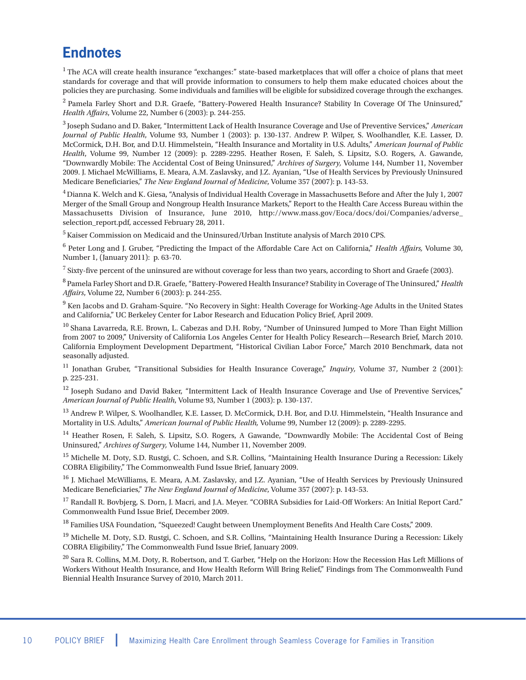## **Endnotes**

<sup>1</sup> The ACA will create health insurance "exchanges:" state-based marketplaces that will offer a choice of plans that meet standards for coverage and that will provide information to consumers to help them make educated choices about the policies they are purchasing. Some individuals and families will be eligible for subsidized coverage through the exchanges.

<sup>2</sup> Pamela Farley Short and D.R. Graefe, "Battery-Powered Health Insurance? Stability In Coverage Of The Uninsured," *Health Affairs*, Volume 22, Number 6 (2003): p. 244-255.

3 Joseph Sudano and D. Baker, "Intermittent Lack of Health Insurance Coverage and Use of Preventive Services," *American Journal of Public Health*, Volume 93, Number 1 (2003): p. 130-137. Andrew P. Wilper, S. Woolhandler, K.E. Lasser, D. McCormick, D.H. Bor, and D.U. Himmelstein, "Health Insurance and Mortality in U.S. Adults," *American Journal of Public Health*, Volume 99, Number 12 (2009): p. 2289-2295. Heather Rosen, F. Saleh, S. Lipsitz, S.O. Rogers, A. Gawande, "Downwardly Mobile: The Accidental Cost of Being Uninsured," *Archives of Surgery,* Volume 144, Number 11, November 2009. J. Michael McWilliams, E. Meara, A.M. Zaslavsky, and J.Z. Ayanian, "Use of Health Services by Previously Uninsured Medicare Beneficiaries," *The New England Journal of Medicine*, Volume 357 (2007): p. 143-53.

4 Dianna K. Welch and K. Giesa, "Analysis of Individual Health Coverage in Massachusetts Before and After the July 1, 2007 Merger of the Small Group and Nongroup Health Insurance Markets," Report to the Health Care Access Bureau within the Massachusetts Division of Insurance, June 2010, http://www.mass.gov/Eoca/docs/doi/Companies/adverse\_ selection\_report.pdf, accessed February 28, 2011.

5 Kaiser Commission on Medicaid and the Uninsured/Urban Institute analysis of March 2010 CPS.

<sup>6</sup> Peter Long and J. Gruber, "Predicting the Impact of the Affordable Care Act on California," *Health Affairs,* Volume 30, Number 1, (January 2011): p. 63-70.

<sup>7</sup> Sixty-five percent of the uninsured are without coverage for less than two years, according to Short and Graefe (2003).

<sup>8</sup> Pamela Farley Short and D.R. Graefe, "Battery-Powered Health Insurance? Stability in Coverage of The Uninsured," *Health Affairs*, Volume 22, Number 6 (2003): p. 244-255.

<sup>9</sup> Ken Jacobs and D. Graham-Squire. "No Recovery in Sight: Health Coverage for Working-Age Adults in the United States and California," UC Berkeley Center for Labor Research and Education Policy Brief, April 2009.

<sup>10</sup> Shana Lavarreda, R.E. Brown, L. Cabezas and D.H. Roby, "Number of Uninsured Jumped to More Than Eight Million from 2007 to 2009," University of California Los Angeles Center for Health Policy Research—Research Brief, March 2010. California Employment Development Department, "Historical Civilian Labor Force," March 2010 Benchmark, data not seasonally adjusted.

<sup>11</sup> Jonathan Gruber, "Transitional Subsidies for Health Insurance Coverage," *Inquiry*, Volume 37, Number 2 (2001): p. 225-231.

 $12$  Joseph Sudano and David Baker, "Intermittent Lack of Health Insurance Coverage and Use of Preventive Services," *American Journal of Public Health*, Volume 93, Number 1 (2003): p. 130-137.

 $^{13}$  Andrew P. Wilper, S. Woolhandler, K.E. Lasser, D. McCormick, D.H. Bor, and D.U. Himmelstein, "Health Insurance and Mortality in U.S. Adults," *American Journal of Public Health,* Volume 99, Number 12 (2009): p. 2289-2295.

<sup>14</sup> Heather Rosen, F. Saleh, S. Lipsitz, S.O. Rogers, A Gawande, "Downwardly Mobile: The Accidental Cost of Being Uninsured," *Archives of Surgery,* Volume 144, Number 11, November 2009.

<sup>15</sup> Michelle M. Doty, S.D. Rustgi, C. Schoen, and S.R. Collins, "Maintaining Health Insurance During a Recession: Likely COBRA Eligibility," The Commonwealth Fund Issue Brief, January 2009.

<sup>16</sup> J. Michael McWilliams, E. Meara, A.M. Zaslavsky, and J.Z. Ayanian, "Use of Health Services by Previously Uninsured Medicare Beneficiaries," *The New England Journal of Medicine*, Volume 357 (2007): p. 143-53.

 $^{17}$  Randall R. Bovbjerg, S. Dorn, J. Macri, and J.A. Meyer. "COBRA Subsidies for Laid-Off Workers: An Initial Report Card." Commonwealth Fund Issue Brief, December 2009.

<sup>18</sup> Families USA Foundation, "Squeezed! Caught between Unemployment Benefits And Health Care Costs," 2009.

<sup>19</sup> Michelle M. Doty, S.D. Rustgi, C. Schoen, and S.R. Collins, "Maintaining Health Insurance During a Recession: Likely COBRA Eligibility," The Commonwealth Fund Issue Brief, January 2009.

 $^{20}$  Sara R. Collins, M.M. Doty, R. Robertson, and T. Garber, "Help on the Horizon: How the Recession Has Left Millions of Workers Without Health Insurance, and How Health Reform Will Bring Relief," Findings from The Commonwealth Fund Biennial Health Insurance Survey of 2010, March 2011.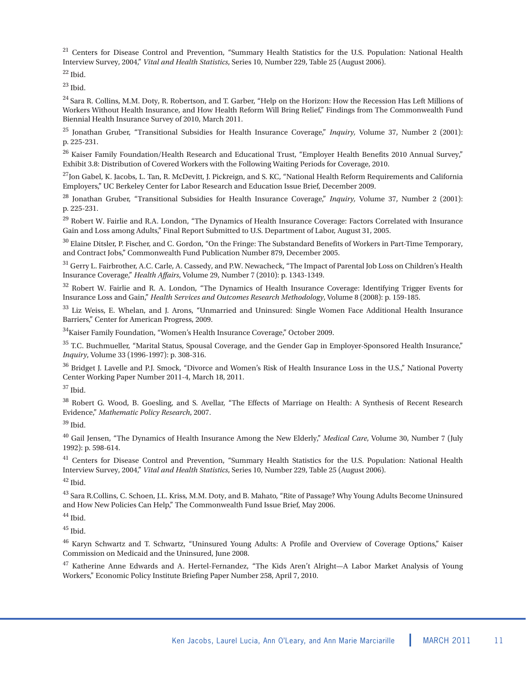<sup>21</sup> Centers for Disease Control and Prevention, "Summary Health Statistics for the U.S. Population: National Health Interview Survey, 2004," *Vital and Health Statistics*, Series 10, Number 229, Table 25 (August 2006).

 $22$  Ibid.

 $^{23}$  Ibid.

<sup>24</sup> Sara R. Collins, M.M. Doty, R. Robertson, and T. Garber, "Help on the Horizon: How the Recession Has Left Millions of Workers Without Health Insurance, and How Health Reform Will Bring Relief," Findings from The Commonwealth Fund Biennial Health Insurance Survey of 2010, March 2011.

<sup>25</sup> Jonathan Gruber, "Transitional Subsidies for Health Insurance Coverage," *Inquiry,* Volume 37, Number 2 (2001): p. 225-231.

<sup>26</sup> Kaiser Family Foundation/Health Research and Educational Trust, "Employer Health Benefits 2010 Annual Survey," Exhibit 3.8: Distribution of Covered Workers with the Following Waiting Periods for Coverage, 2010.

 $^{27}$ Jon Gabel, K. Jacobs, L. Tan, R. McDevitt, J. Pickreign, and S. KC, "National Health Reform Requirements and California Employers," UC Berkeley Center for Labor Research and Education Issue Brief, December 2009.

<sup>28</sup> Jonathan Gruber, "Transitional Subsidies for Health Insurance Coverage," *Inquiry,* Volume 37, Number 2 (2001): p. 225-231.

<sup>29</sup> Robert W. Fairlie and R.A. London, "The Dynamics of Health Insurance Coverage: Factors Correlated with Insurance Gain and Loss among Adults," Final Report Submitted to U.S. Department of Labor, August 31, 2005.

 $30$  Elaine Ditsler, P. Fischer, and C. Gordon, "On the Fringe: The Substandard Benefits of Workers in Part-Time Temporary, and Contract Jobs," Commonwealth Fund Publication Number 879, December 2005.

<sup>31</sup> Gerry L. Fairbrother, A.C. Carle, A. Cassedy, and P.W. Newacheck, "The Impact of Parental Job Loss on Children's Health Insurance Coverage," *Health Affairs*, Volume 29, Number 7 (2010): p. 1343-1349.

 $32$  Robert W. Fairlie and R. A. London, "The Dynamics of Health Insurance Coverage: Identifying Trigger Events for Insurance Loss and Gain," *Health Services and Outcomes Research Methodology*, Volume 8 (2008): p. 159-185.

<sup>33</sup> Liz Weiss, E. Whelan, and J. Arons, "Unmarried and Uninsured: Single Women Face Additional Health Insurance Barriers," Center for American Progress, 2009.

34Kaiser Family Foundation, "Women's Health Insurance Coverage," October 2009.

<sup>35</sup> T.C. Buchmueller, "Marital Status, Spousal Coverage, and the Gender Gap in Employer-Sponsored Health Insurance," *Inquiry*, Volume 33 (1996-1997): p. 308-316.

<sup>36</sup> Bridget J. Lavelle and P.J. Smock, "Divorce and Women's Risk of Health Insurance Loss in the U.S.," National Poverty Center Working Paper Number 2011-4, March 18, 2011.

<sup>37</sup> Ibid.

<sup>38</sup> Robert G. Wood, B. Goesling, and S. Avellar, "The Effects of Marriage on Health: A Synthesis of Recent Research Evidence," *Mathematic Policy Research*, 2007.

<sup>39</sup> Ibid.

<sup>40</sup> Gail Jensen, "The Dynamics of Health Insurance Among the New Elderly," *Medical Care*, Volume 30, Number 7 (July 1992): p. 598-614.

<sup>41</sup> Centers for Disease Control and Prevention, "Summary Health Statistics for the U.S. Population: National Health Interview Survey, 2004," *Vital and Health Statistics*, Series 10, Number 229, Table 25 (August 2006).

 $42$  Ibid.

<sup>43</sup> Sara R.Collins, C. Schoen, J.L. Kriss, M.M. Doty, and B. Mahato, "Rite of Passage? Why Young Adults Become Uninsured and How New Policies Can Help," The Commonwealth Fund Issue Brief, May 2006.

 $^{44}$  Ibid.

 $45$  Ibid.

<sup>46</sup> Karyn Schwartz and T. Schwartz, "Uninsured Young Adults: A Profile and Overview of Coverage Options," Kaiser Commission on Medicaid and the Uninsured, June 2008.

<sup>47</sup> Katherine Anne Edwards and A. Hertel-Fernandez, "The Kids Aren't Alright—A Labor Market Analysis of Young Workers," Economic Policy Institute Briefing Paper Number 258, April 7, 2010.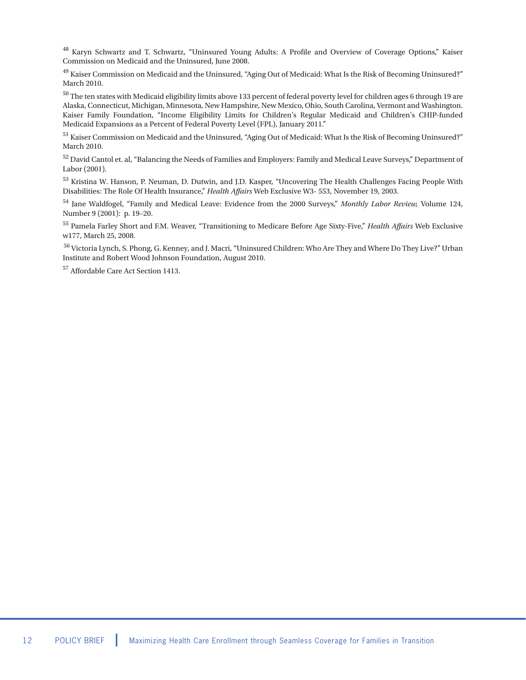<sup>48</sup> Karyn Schwartz and T. Schwartz, "Uninsured Young Adults: A Profile and Overview of Coverage Options," Kaiser Commission on Medicaid and the Uninsured, June 2008.

 $^{49}$  Kaiser Commission on Medicaid and the Uninsured, "Aging Out of Medicaid: What Is the Risk of Becoming Uninsured?" March 2010.

<sup>50</sup> The ten states with Medicaid eligibility limits above 133 percent of federal poverty level for children ages 6 through 19 are Alaska, Connecticut, Michigan, Minnesota, New Hampshire, New Mexico, Ohio, South Carolina, Vermont and Washington. Kaiser Family Foundation, "Income Eligibility Limits for Children's Regular Medicaid and Children's CHIP-funded Medicaid Expansions as a Percent of Federal Poverty Level (FPL), January 2011."

<sup>51</sup> Kaiser Commission on Medicaid and the Uninsured, "Aging Out of Medicaid: What Is the Risk of Becoming Uninsured?" March 2010.

<sup>52</sup> David Cantol et. al, "Balancing the Needs of Families and Employers: Family and Medical Leave Surveys," Department of Labor (2001).

<sup>53</sup> Kristina W. Hanson, P. Neuman, D. Dutwin, and J.D. Kasper, "Uncovering The Health Challenges Facing People With Disabilities: The Role Of Health Insurance," *Health Affairs* Web Exclusive W3- 553, November 19, 2003.

<sup>54</sup> Jane Waldfogel, "Family and Medical Leave: Evidence from the 2000 Surveys," *Monthly Labor Review,* Volume 124, Number 9 (2001): p. 19–20.

<sup>55</sup> Pamela Farley Short and F.M. Weaver, "Transitioning to Medicare Before Age Sixty-Five," *Health Affairs* Web Exclusive w177, March 25, 2008.

<sup>56</sup> Victoria Lynch, S. Phong, G. Kenney, and J. Macri, "Uninsured Children: Who Are They and Where Do They Live?" Urban Institute and Robert Wood Johnson Foundation, August 2010.

<sup>57</sup> Affordable Care Act Section 1413.